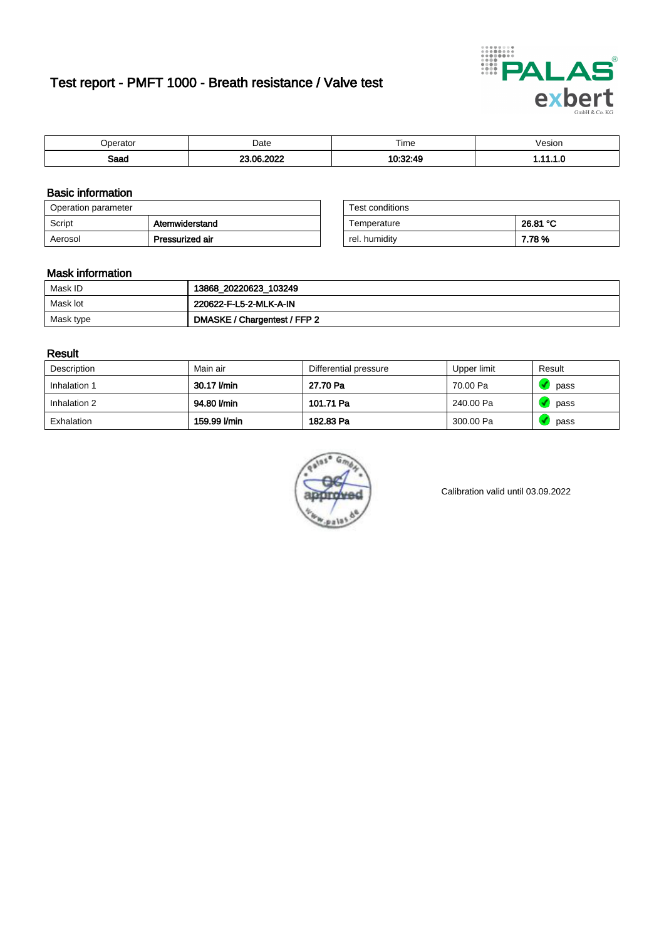# Test report - PMFT 1000 - Breath resistance / Valve test



| 'perator     | Date                                               | Time     | 'esıon<br>. |
|--------------|----------------------------------------------------|----------|-------------|
| Soon<br>oaau | 000 <sup>o</sup><br>0e<br>$\overline{\phantom{a}}$ | 10.22.4c | . .         |

### Basic information

| Operation parameter |                 | Test conditions |          |
|---------------------|-----------------|-----------------|----------|
| Script              | Atemwiderstand  | Temperature     | 26.81 °C |
| Aerosol             | Pressurized air | rel. humidity   | 7.78%    |

| Test conditions |          |
|-----------------|----------|
| Temperature     | 26.81 °C |
| rel. humidity   | 7.78%    |

### Mask information

| Mask ID   | 13868_20220623_103249        |
|-----------|------------------------------|
| Mask lot  | 220622-F-L5-2-MLK-A-IN       |
| Mask type | DMASKE / Chargentest / FFP 2 |

#### Result

| Description  | Main air     | Differential pressure | Upper limit | Result |
|--------------|--------------|-----------------------|-------------|--------|
| Inhalation 1 | 30.17 l/min  | 27.70 Pa              | 70.00 Pa    | pass   |
| Inhalation 2 | 94.80 l/min  | 101.71 Pa             | 240.00 Pa   | pass   |
| Exhalation   | 159.99 l/min | 182.83 Pa             | 300.00 Pa   | pass   |



Calibration valid until 03.09.2022